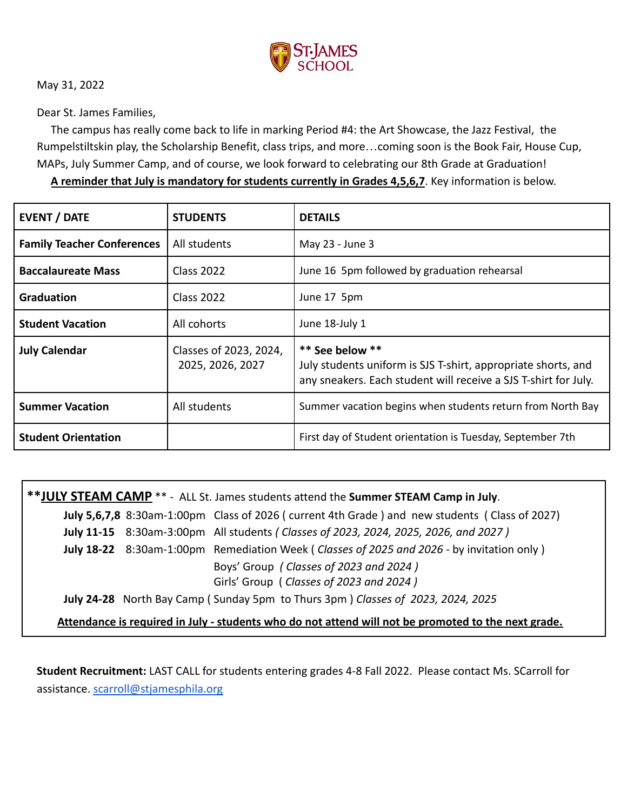

May 31, 2022

Dear St. James Families,

The campus has really come back to life in marking Period #4: the Art Showcase, the Jazz Festival, the Rumpelstiltskin play, the Scholarship Benefit, class trips, and more…coming soon is the Book Fair, House Cup, MAPs, July Summer Camp, and of course, we look forward to celebrating our 8th Grade at Graduation!

**A reminder that July is mandatory for students currently in Grades 4,5,6,7**. Key information is below.

| <b>EVENT / DATE</b>               | <b>STUDENTS</b>                            | <b>DETAILS</b>                                                                                                                                      |
|-----------------------------------|--------------------------------------------|-----------------------------------------------------------------------------------------------------------------------------------------------------|
| <b>Family Teacher Conferences</b> | All students                               | May 23 - June 3                                                                                                                                     |
| <b>Baccalaureate Mass</b>         | <b>Class 2022</b>                          | June 16 5pm followed by graduation rehearsal                                                                                                        |
| <b>Graduation</b>                 | <b>Class 2022</b>                          | June 17 5pm                                                                                                                                         |
| <b>Student Vacation</b>           | All cohorts                                | June 18-July 1                                                                                                                                      |
| <b>July Calendar</b>              | Classes of 2023, 2024,<br>2025, 2026, 2027 | ** See below **<br>July students uniform is SJS T-shirt, appropriate shorts, and<br>any sneakers. Each student will receive a SJS T-shirt for July. |
| <b>Summer Vacation</b>            | All students                               | Summer vacation begins when students return from North Bay                                                                                          |
| <b>Student Orientation</b>        |                                            | First day of Student orientation is Tuesday, September 7th                                                                                          |

**\*\*JULY STEAM CAMP** \*\* - ALL St. James students attend the **Summer STEAM Camp in July**. **July 5,6,7,8** 8:30am-1:00pm Class of 2026 ( current 4th Grade ) and new students ( Class of 2027) **July 11-15** 8:30am-3:00pm All students *( Classes of 2023, 2024, 2025, 2026, and 2027 )* **July 18-22** 8:30am-1:00pm Remediation Week ( *Classes of 2025 and 2026 -* by invitation only ) Boys' Group *( Classes of 2023 and 2024 )* Girls' Group ( *Classes of 2023 and 2024 )* **July 24-28** North Bay Camp ( Sunday 5pm to Thurs 3pm ) *Classes of 2023, 2024, 2025* **Attendance is required in July - students who do not attend will not be promoted to the next grade.**

**Student Recruitment:** LAST CALL for students entering grades 4-8 Fall 2022. Please contact Ms. SCarroll for assistance. [scarroll@stjamesphila.org](mailto:spadilla@stjamesphila.org)